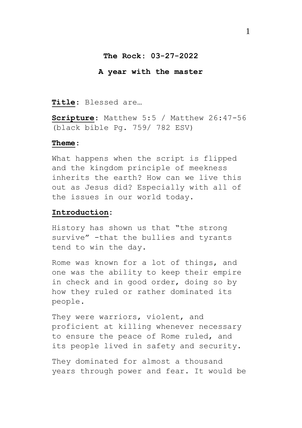# **The Rock: 03-27-2022**

#### **A year with the master**

**Title**: Blessed are…

**Scripture**: Matthew 5:5 / Matthew 26:47-56 (black bible Pg. 759/ 782 ESV)

#### **Theme**:

What happens when the script is flipped and the kingdom principle of meekness inherits the earth? How can we live this out as Jesus did? Especially with all of the issues in our world today.

### **Introduction:**

History has shown us that "the strong survive" -that the bullies and tyrants tend to win the day.

Rome was known for a lot of things, and one was the ability to keep their empire in check and in good order, doing so by how they ruled or rather dominated its people.

They were warriors, violent, and proficient at killing whenever necessary to ensure the peace of Rome ruled, and its people lived in safety and security.

They dominated for almost a thousand years through power and fear. It would be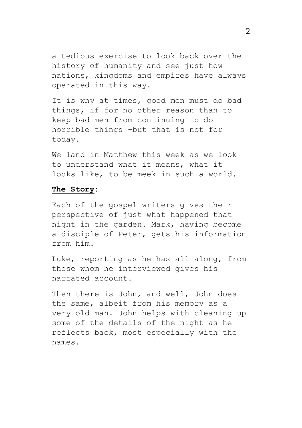a tedious exercise to look back over the history of humanity and see just how nations, kingdoms and empires have always operated in this way.

It is why at times, good men must do bad things, if for no other reason than to keep bad men from continuing to do horrible things -but that is not for today.

We land in Matthew this week as we look to understand what it means, what it looks like, to be meek in such a world.

#### **The Story:**

Each of the gospel writers gives their perspective of just what happened that night in the garden. Mark, having become a disciple of Peter, gets his information from him.

Luke, reporting as he has all along, from those whom he interviewed gives his narrated account.

Then there is John, and well, John does the same, albeit from his memory as a very old man. John helps with cleaning up some of the details of the night as he reflects back, most especially with the names.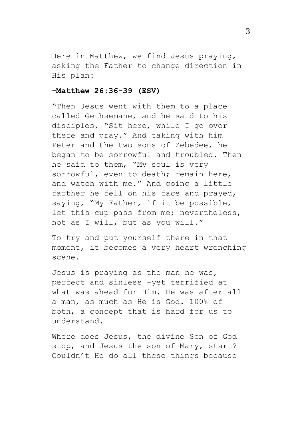Here in Matthew, we find Jesus praying, asking the Father to change direction in His plan:

# **-Matthew 26:36-39 (ESV)**

"Then Jesus went with them to a place called Gethsemane, and he said to his disciples, "Sit here, while I go over there and pray." And taking with him Peter and the two sons of Zebedee, he began to be sorrowful and troubled. Then he said to them, "My soul is very sorrowful, even to death; remain here, and watch with me." And going a little farther he fell on his face and prayed, saying, "My Father, if it be possible, let this cup pass from me; nevertheless, not as I will, but as you will."

To try and put yourself there in that moment, it becomes a very heart wrenching scene.

Jesus is praying as the man he was, perfect and sinless -yet terrified at what was ahead for Him. He was after all a man, as much as He is God. 100% of both, a concept that is hard for us to understand.

Where does Jesus, the divine Son of God stop, and Jesus the son of Mary, start? Couldn't He do all these things because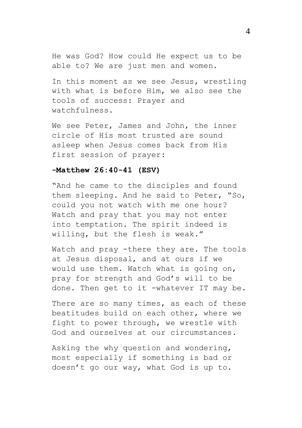He was God? How could He expect us to be able to? We are just men and women.

In this moment as we see Jesus, wrestling with what is before Him, we also see the tools of success: Prayer and watchfulness.

We see Peter, James and John, the inner circle of His most trusted are sound asleep when Jesus comes back from His first session of prayer:

### **-Matthew 26:40-41 (ESV)**

"And he came to the disciples and found them sleeping. And he said to Peter, "So, could you not watch with me one hour? Watch and pray that you may not enter into temptation. The spirit indeed is willing, but the flesh is weak."

Watch and pray -there they are. The tools at Jesus disposal, and at ours if we would use them. Watch what is going on, pray for strength and God's will to be done. Then get to it -whatever IT may be.

There are so many times, as each of these beatitudes build on each other, where we fight to power through, we wrestle with God and ourselves at our circumstances.

Asking the why question and wondering, most especially if something is bad or doesn't go our way, what God is up to.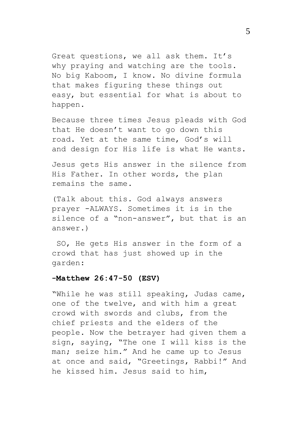Great questions, we all ask them. It's why praying and watching are the tools. No big Kaboom, I know. No divine formula that makes figuring these things out easy, but essential for what is about to happen.

Because three times Jesus pleads with God that He doesn't want to go down this road. Yet at the same time, God's will and design for His life is what He wants.

Jesus gets His answer in the silence from His Father. In other words, the plan remains the same.

(Talk about this. God always answers prayer -ALWAYS. Sometimes it is in the silence of a "non-answer", but that is an answer.)

SO, He gets His answer in the form of a crowd that has just showed up in the garden:

## **-Matthew 26:47-50 (ESV)**

"While he was still speaking, Judas came, one of the twelve, and with him a great crowd with swords and clubs, from the chief priests and the elders of the people. Now the betrayer had given them a sign, saying, "The one I will kiss is the man; seize him." And he came up to Jesus at once and said, "Greetings, Rabbi!" And he kissed him. Jesus said to him,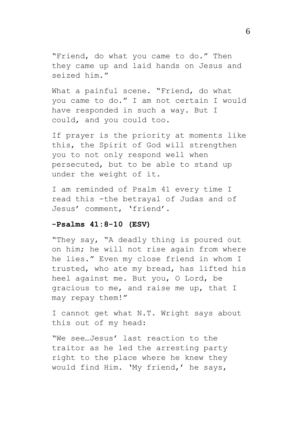"Friend, do what you came to do." Then they came up and laid hands on Jesus and seized him."

What a painful scene. "Friend, do what you came to do." I am not certain I would have responded in such a way. But I could, and you could too.

If prayer is the priority at moments like this, the Spirit of God will strengthen you to not only respond well when persecuted, but to be able to stand up under the weight of it.

I am reminded of Psalm 41 every time I read this -the betrayal of Judas and of Jesus' comment, 'friend'.

### **-Psalms 41:8-10 (ESV)**

"They say, "A deadly thing is poured out on him; he will not rise again from where he lies." Even my close friend in whom I trusted, who ate my bread, has lifted his heel against me. But you, O Lord, be gracious to me, and raise me up, that I may repay them!"

I cannot get what N.T. Wright says about this out of my head:

"We see…Jesus' last reaction to the traitor as he led the arresting party right to the place where he knew they would find Him. 'My friend,' he says,

6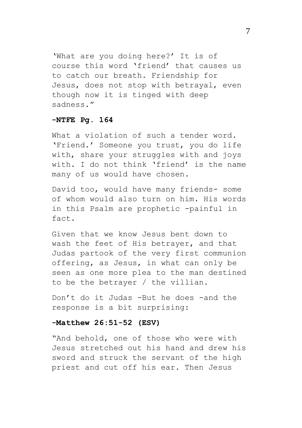'What are you doing here?' It is of course this word 'friend' that causes us to catch our breath. Friendship for Jesus, does not stop with betrayal, even though now it is tinged with deep sadness."

# **-NTFE Pg. 164**

What a violation of such a tender word. 'Friend.' Someone you trust, you do life with, share your struggles with and joys with. I do not think 'friend' is the name many of us would have chosen.

David too, would have many friends- some of whom would also turn on him. His words in this Psalm are prophetic -painful in fact.

Given that we know Jesus bent down to wash the feet of His betrayer, and that Judas partook of the very first communion offering, as Jesus, in what can only be seen as one more plea to the man destined to be the betrayer / the villian.

Don't do it Judas -But he does -and the response is a bit surprising:

### **-Matthew 26:51-52 (ESV)**

"And behold, one of those who were with Jesus stretched out his hand and drew his sword and struck the servant of the high priest and cut off his ear. Then Jesus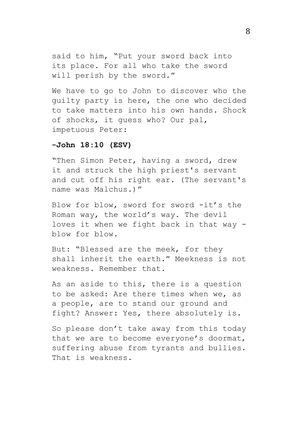said to him, "Put your sword back into its place. For all who take the sword will perish by the sword."

We have to go to John to discover who the guilty party is here, the one who decided to take matters into his own hands. Shock of shocks, it guess who? Our pal, impetuous Peter:

#### **-John 18:10 (ESV)**

"Then Simon Peter, having a sword, drew it and struck the high priest's servant and cut off his right ear. (The servant's name was Malchus.)"

Blow for blow, sword for sword -it's the Roman way, the world's way. The devil loves it when we fight back in that way blow for blow.

But: "Blessed are the meek, for they shall inherit the earth." Meekness is not weakness. Remember that.

As an aside to this, there is a question to be asked: Are there times when we, as a people, are to stand our ground and fight? Answer: Yes, there absolutely is.

So please don't take away from this today that we are to become everyone's doormat, suffering abuse from tyrants and bullies. That is weakness.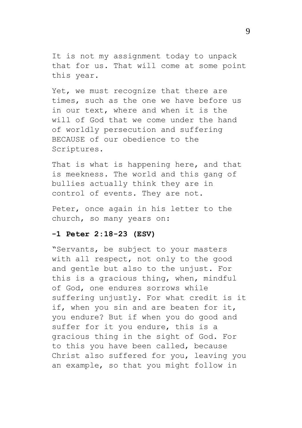It is not my assignment today to unpack that for us. That will come at some point this year.

Yet, we must recognize that there are times, such as the one we have before us in our text, where and when it is the will of God that we come under the hand of worldly persecution and suffering BECAUSE of our obedience to the Scriptures.

That is what is happening here, and that is meekness. The world and this gang of bullies actually think they are in control of events. They are not.

Peter, once again in his letter to the church, so many years on:

### **-1 Peter 2:18-23 (ESV)**

"Servants, be subject to your masters with all respect, not only to the good and gentle but also to the unjust. For this is a gracious thing, when, mindful of God, one endures sorrows while suffering unjustly. For what credit is it if, when you sin and are beaten for it, you endure? But if when you do good and suffer for it you endure, this is a gracious thing in the sight of God. For to this you have been called, because Christ also suffered for you, leaving you an example, so that you might follow in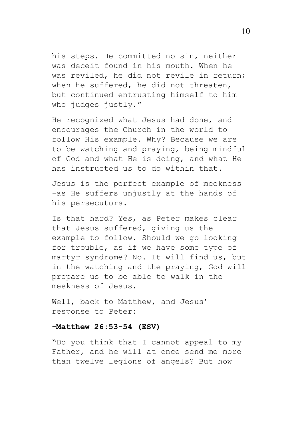his steps. He committed no sin, neither was deceit found in his mouth. When he was reviled, he did not revile in return; when he suffered, he did not threaten, but continued entrusting himself to him who judges justly."

He recognized what Jesus had done, and encourages the Church in the world to follow His example. Why? Because we are to be watching and praying, being mindful of God and what He is doing, and what He has instructed us to do within that.

Jesus is the perfect example of meekness -as He suffers unjustly at the hands of his persecutors.

Is that hard? Yes, as Peter makes clear that Jesus suffered, giving us the example to follow. Should we go looking for trouble, as if we have some type of martyr syndrome? No. It will find us, but in the watching and the praying, God will prepare us to be able to walk in the meekness of Jesus.

Well, back to Matthew, and Jesus' response to Peter:

# **-Matthew 26:53-54 (ESV)**

"Do you think that I cannot appeal to my Father, and he will at once send me more than twelve legions of angels? But how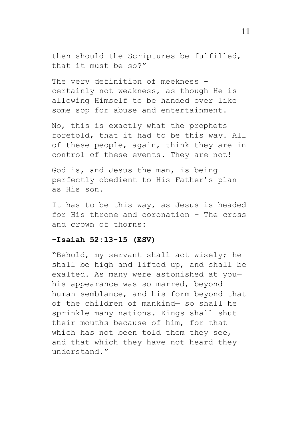then should the Scriptures be fulfilled, that it must be so?"

The very definition of meekness certainly not weakness, as though He is allowing Himself to be handed over like some sop for abuse and entertainment.

No, this is exactly what the prophets foretold, that it had to be this way. All of these people, again, think they are in control of these events. They are not!

God is, and Jesus the man, is being perfectly obedient to His Father's plan as His son.

It has to be this way, as Jesus is headed for His throne and coronation – The cross and crown of thorns:

#### **-Isaiah 52:13-15 (ESV)**

"Behold, my servant shall act wisely; he shall be high and lifted up, and shall be exalted. As many were astonished at youhis appearance was so marred, beyond human semblance, and his form beyond that of the children of mankind— so shall he sprinkle many nations. Kings shall shut their mouths because of him, for that which has not been told them they see, and that which they have not heard they understand."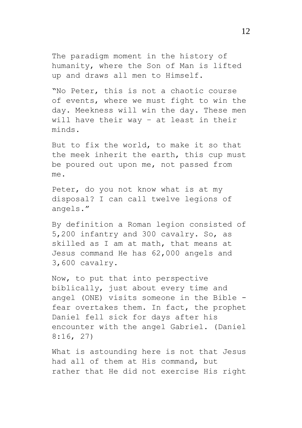The paradigm moment in the history of humanity, where the Son of Man is lifted up and draws all men to Himself.

"No Peter, this is not a chaotic course of events, where we must fight to win the day. Meekness will win the day. These men will have their way – at least in their minds.

But to fix the world, to make it so that the meek inherit the earth, this cup must be poured out upon me, not passed from  $m \approx$ 

Peter, do you not know what is at my disposal? I can call twelve legions of angels."

By definition a Roman legion consisted of 5,200 infantry and 300 cavalry. So, as skilled as I am at math, that means at Jesus command He has 62,000 angels and 3,600 cavalry.

Now, to put that into perspective biblically, just about every time and angel (ONE) visits someone in the Bible fear overtakes them. In fact, the prophet Daniel fell sick for days after his encounter with the angel Gabriel. (Daniel 8:16, 27)

What is astounding here is not that Jesus had all of them at His command, but rather that He did not exercise His right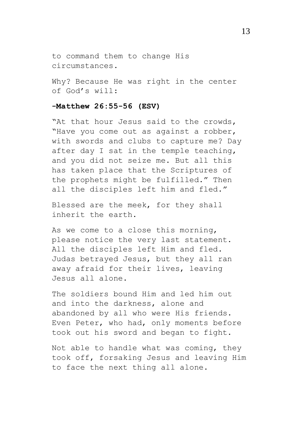to command them to change His circumstances.

Why? Because He was right in the center of God's will:

# **-Matthew 26:55-56 (ESV)**

"At that hour Jesus said to the crowds, "Have you come out as against a robber, with swords and clubs to capture me? Day after day I sat in the temple teaching, and you did not seize me. But all this has taken place that the Scriptures of the prophets might be fulfilled." Then all the disciples left him and fled."

Blessed are the meek, for they shall inherit the earth.

As we come to a close this morning, please notice the very last statement. All the disciples left Him and fled. Judas betrayed Jesus, but they all ran away afraid for their lives, leaving Jesus all alone.

The soldiers bound Him and led him out and into the darkness, alone and abandoned by all who were His friends. Even Peter, who had, only moments before took out his sword and began to fight.

Not able to handle what was coming, they took off, forsaking Jesus and leaving Him to face the next thing all alone.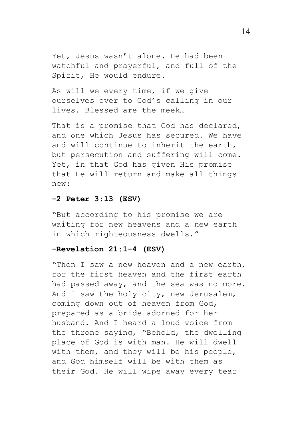Yet, Jesus wasn't alone. He had been watchful and prayerful, and full of the Spirit, He would endure.

As will we every time, if we give ourselves over to God's calling in our lives. Blessed are the meek…

That is a promise that God has declared, and one which Jesus has secured. We have and will continue to inherit the earth, but persecution and suffering will come. Yet, in that God has given His promise that He will return and make all things new:

# **-2 Peter 3:13 (ESV)**

"But according to his promise we are waiting for new heavens and a new earth in which righteousness dwells."

# **-Revelation 21:1-4 (ESV)**

"Then I saw a new heaven and a new earth, for the first heaven and the first earth had passed away, and the sea was no more. And I saw the holy city, new Jerusalem, coming down out of heaven from God, prepared as a bride adorned for her husband. And I heard a loud voice from the throne saying, "Behold, the dwelling place of God is with man. He will dwell with them, and they will be his people, and God himself will be with them as their God. He will wipe away every tear